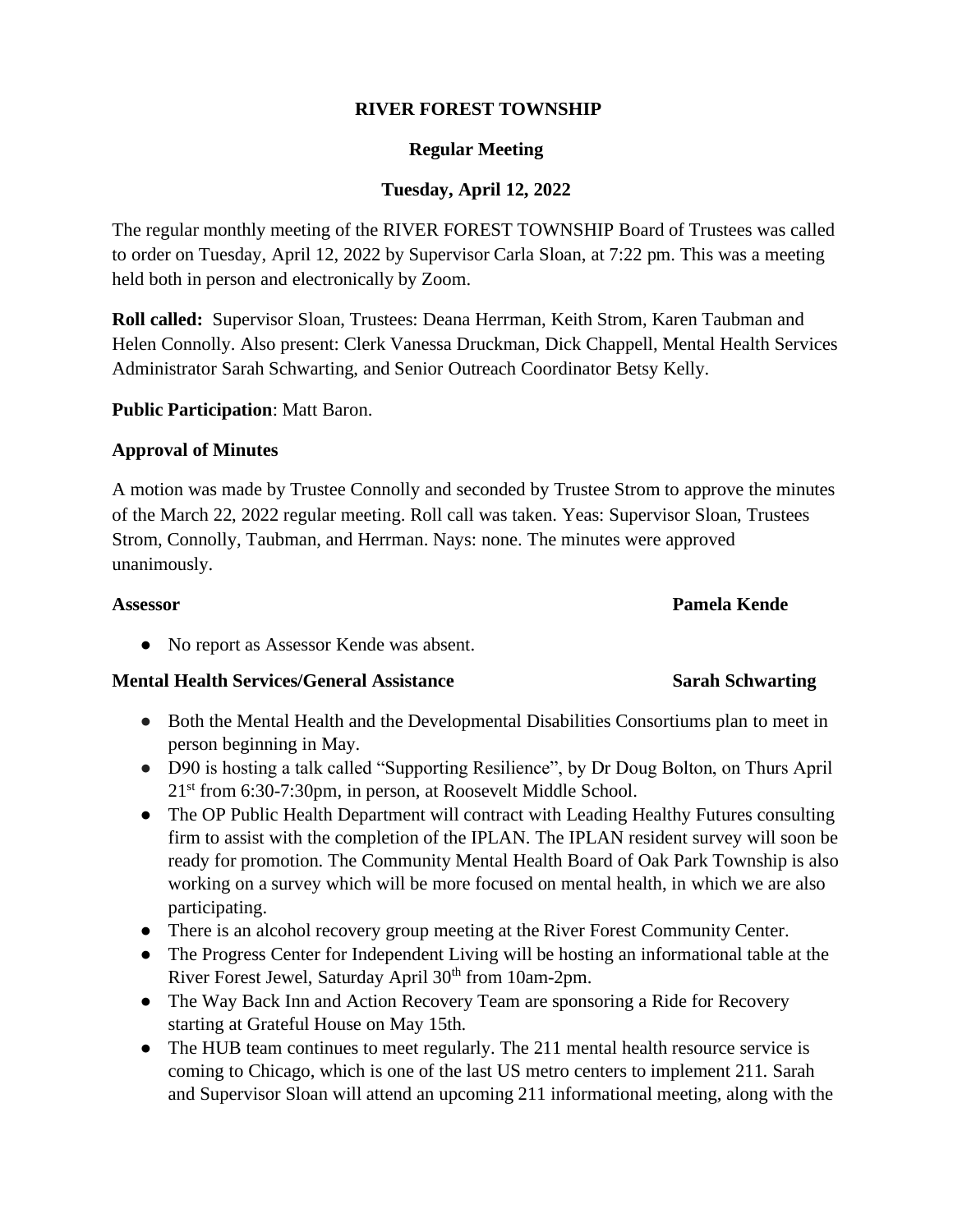## **RIVER FOREST TOWNSHIP**

## **Regular Meeting**

# **Tuesday, April 12, 2022**

The regular monthly meeting of the RIVER FOREST TOWNSHIP Board of Trustees was called to order on Tuesday, April 12, 2022 by Supervisor Carla Sloan, at 7:22 pm. This was a meeting held both in person and electronically by Zoom.

**Roll called:** Supervisor Sloan, Trustees: Deana Herrman, Keith Strom, Karen Taubman and Helen Connolly. Also present: Clerk Vanessa Druckman, Dick Chappell, Mental Health Services Administrator Sarah Schwarting, and Senior Outreach Coordinator Betsy Kelly.

### **Public Participation**: Matt Baron.

### **Approval of Minutes**

A motion was made by Trustee Connolly and seconded by Trustee Strom to approve the minutes of the March 22, 2022 regular meeting. Roll call was taken. Yeas: Supervisor Sloan, Trustees Strom, Connolly, Taubman, and Herrman. Nays: none. The minutes were approved unanimously.

**Assessor Pamela Kende**

● No report as Assessor Kende was absent.

### **Mental Health Services/General Assistance <b>Sarah Schwarting** Sarah Schwarting

- Both the Mental Health and the Developmental Disabilities Consortiums plan to meet in person beginning in May.
- D90 is hosting a talk called "Supporting Resilience", by Dr Doug Bolton, on Thurs April 21st from 6:30-7:30pm, in person, at Roosevelt Middle School.
- The OP Public Health Department will contract with Leading Healthy Futures consulting firm to assist with the completion of the IPLAN. The IPLAN resident survey will soon be ready for promotion. The Community Mental Health Board of Oak Park Township is also working on a survey which will be more focused on mental health, in which we are also participating.
- There is an alcohol recovery group meeting at the River Forest Community Center.
- The Progress Center for Independent Living will be hosting an informational table at the River Forest Jewel, Saturday April 30<sup>th</sup> from 10am-2pm.
- The Way Back Inn and Action Recovery Team are sponsoring a Ride for Recovery starting at Grateful House on May 15th.
- The HUB team continues to meet regularly. The 211 mental health resource service is coming to Chicago, which is one of the last US metro centers to implement 211. Sarah and Supervisor Sloan will attend an upcoming 211 informational meeting, along with the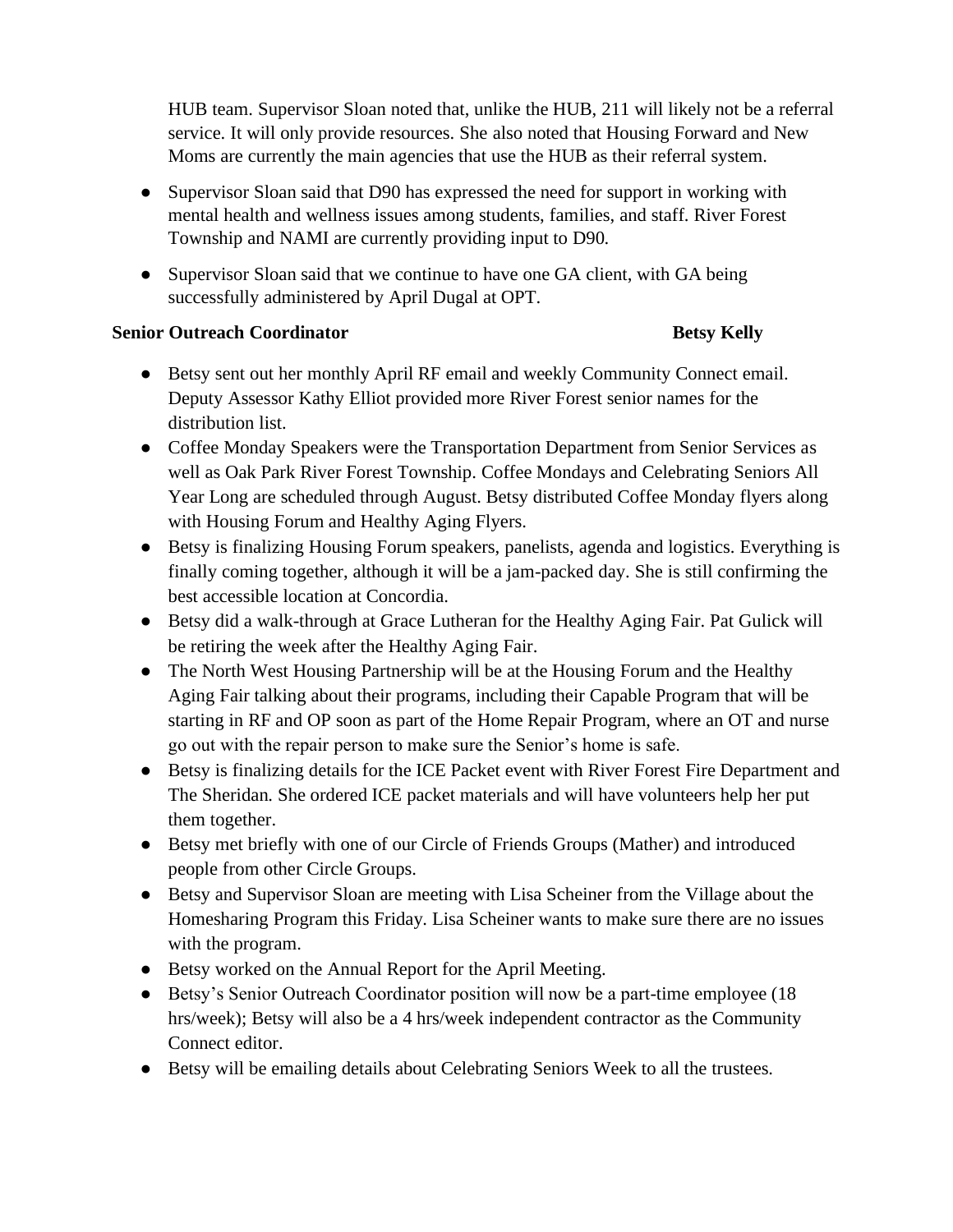HUB team. Supervisor Sloan noted that, unlike the HUB, 211 will likely not be a referral service. It will only provide resources. She also noted that Housing Forward and New Moms are currently the main agencies that use the HUB as their referral system.

- Supervisor Sloan said that D90 has expressed the need for support in working with mental health and wellness issues among students, families, and staff. River Forest Township and NAMI are currently providing input to D90.
- Supervisor Sloan said that we continue to have one GA client, with GA being successfully administered by April Dugal at OPT.

## **Senior Outreach Coordinator Betsy Kelly**

- Betsy sent out her monthly April RF email and weekly Community Connect email. Deputy Assessor Kathy Elliot provided more River Forest senior names for the distribution list.
- Coffee Monday Speakers were the Transportation Department from Senior Services as well as Oak Park River Forest Township. Coffee Mondays and Celebrating Seniors All Year Long are scheduled through August. Betsy distributed Coffee Monday flyers along with Housing Forum and Healthy Aging Flyers.
- Betsy is finalizing Housing Forum speakers, panelists, agenda and logistics. Everything is finally coming together, although it will be a jam-packed day. She is still confirming the best accessible location at Concordia.
- Betsy did a walk-through at Grace Lutheran for the Healthy Aging Fair. Pat Gulick will be retiring the week after the Healthy Aging Fair.
- The North West Housing Partnership will be at the Housing Forum and the Healthy Aging Fair talking about their programs, including their Capable Program that will be starting in RF and OP soon as part of the Home Repair Program, where an OT and nurse go out with the repair person to make sure the Senior's home is safe.
- Betsy is finalizing details for the ICE Packet event with River Forest Fire Department and The Sheridan. She ordered ICE packet materials and will have volunteers help her put them together.
- Betsy met briefly with one of our Circle of Friends Groups (Mather) and introduced people from other Circle Groups.
- Betsy and Supervisor Sloan are meeting with Lisa Scheiner from the Village about the Homesharing Program this Friday. Lisa Scheiner wants to make sure there are no issues with the program.
- Betsy worked on the Annual Report for the April Meeting.
- Betsy's Senior Outreach Coordinator position will now be a part-time employee (18 hrs/week); Betsy will also be a 4 hrs/week independent contractor as the Community Connect editor.
- Betsy will be emailing details about Celebrating Seniors Week to all the trustees.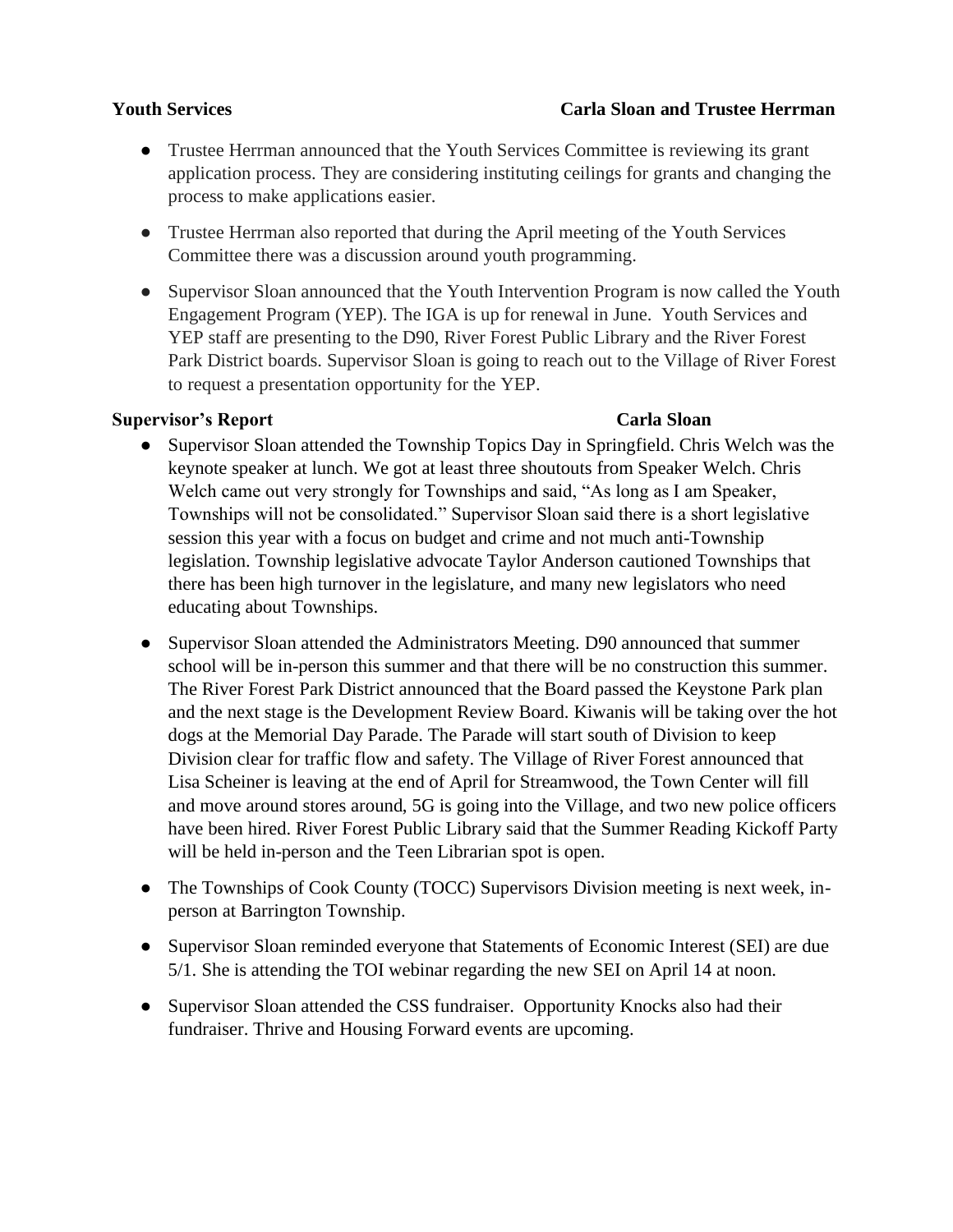### **Youth Services Carla Sloan and Trustee Herrman**

- Trustee Herrman announced that the Youth Services Committee is reviewing its grant application process. They are considering instituting ceilings for grants and changing the process to make applications easier.
- Trustee Herrman also reported that during the April meeting of the Youth Services Committee there was a discussion around youth programming.
- Supervisor Sloan announced that the Youth Intervention Program is now called the Youth Engagement Program (YEP). The IGA is up for renewal in June. Youth Services and YEP staff are presenting to the D90, River Forest Public Library and the River Forest Park District boards. Supervisor Sloan is going to reach out to the Village of River Forest to request a presentation opportunity for the YEP.

### **Supervisor's Report Carla Sloan**

- Supervisor Sloan attended the Township Topics Day in Springfield. Chris Welch was the keynote speaker at lunch. We got at least three shoutouts from Speaker Welch. Chris Welch came out very strongly for Townships and said, "As long as I am Speaker, Townships will not be consolidated." Supervisor Sloan said there is a short legislative session this year with a focus on budget and crime and not much anti-Township legislation. Township legislative advocate Taylor Anderson cautioned Townships that there has been high turnover in the legislature, and many new legislators who need educating about Townships.
- Supervisor Sloan attended the Administrators Meeting. D90 announced that summer school will be in-person this summer and that there will be no construction this summer. The River Forest Park District announced that the Board passed the Keystone Park plan and the next stage is the Development Review Board. Kiwanis will be taking over the hot dogs at the Memorial Day Parade. The Parade will start south of Division to keep Division clear for traffic flow and safety. The Village of River Forest announced that Lisa Scheiner is leaving at the end of April for Streamwood, the Town Center will fill and move around stores around, 5G is going into the Village, and two new police officers have been hired. River Forest Public Library said that the Summer Reading Kickoff Party will be held in-person and the Teen Librarian spot is open.
- The Townships of Cook County (TOCC) Supervisors Division meeting is next week, inperson at Barrington Township.
- Supervisor Sloan reminded everyone that Statements of Economic Interest (SEI) are due 5/1. She is attending the TOI webinar regarding the new SEI on April 14 at noon.
- Supervisor Sloan attended the CSS fundraiser. Opportunity Knocks also had their fundraiser. Thrive and Housing Forward events are upcoming.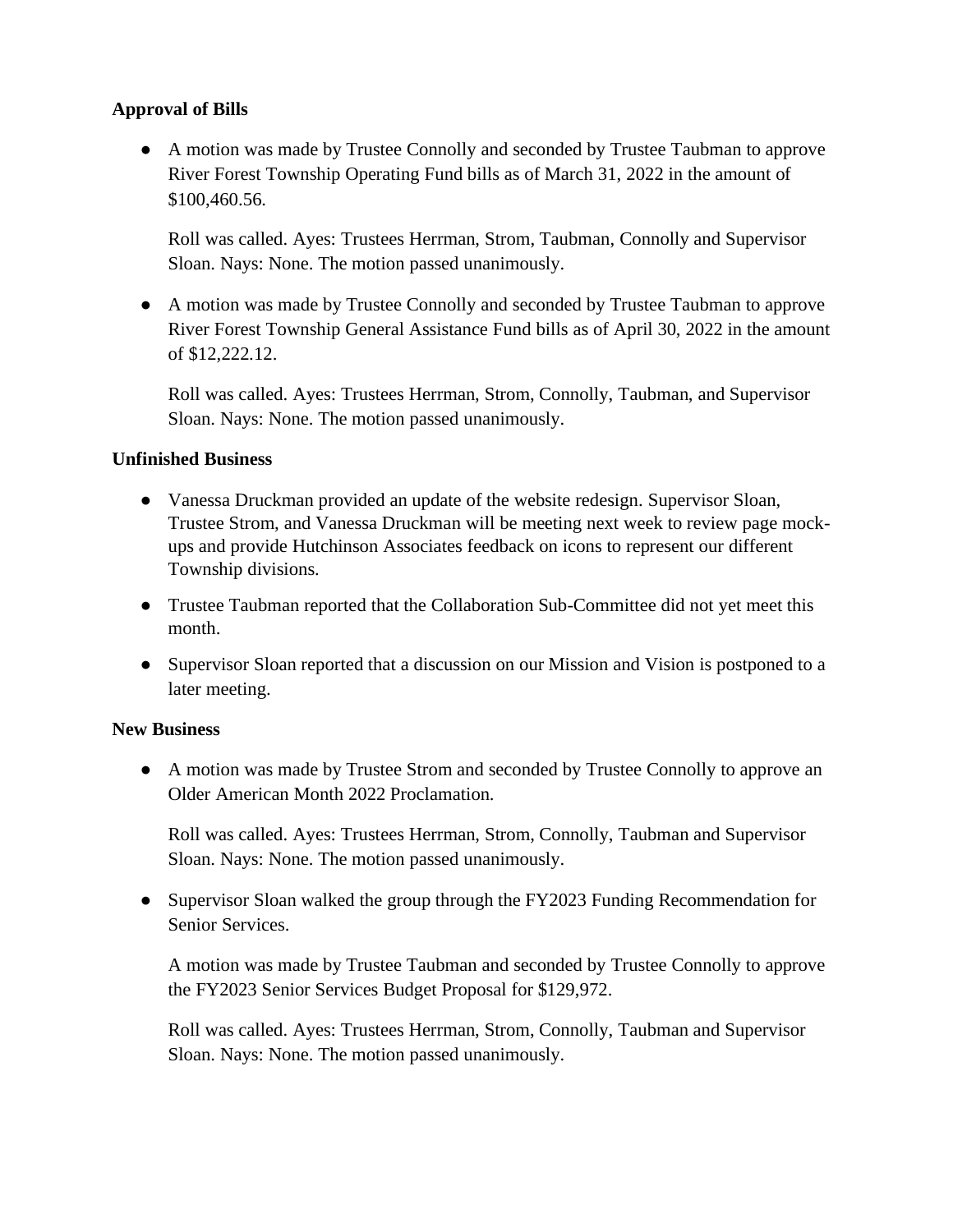## **Approval of Bills**

● A motion was made by Trustee Connolly and seconded by Trustee Taubman to approve River Forest Township Operating Fund bills as of March 31, 2022 in the amount of \$100,460.56.

Roll was called. Ayes: Trustees Herrman, Strom, Taubman, Connolly and Supervisor Sloan. Nays: None. The motion passed unanimously.

● A motion was made by Trustee Connolly and seconded by Trustee Taubman to approve River Forest Township General Assistance Fund bills as of April 30, 2022 in the amount of \$12,222.12.

Roll was called. Ayes: Trustees Herrman, Strom, Connolly, Taubman, and Supervisor Sloan. Nays: None. The motion passed unanimously.

# **Unfinished Business**

- Vanessa Druckman provided an update of the website redesign. Supervisor Sloan, Trustee Strom, and Vanessa Druckman will be meeting next week to review page mockups and provide Hutchinson Associates feedback on icons to represent our different Township divisions.
- Trustee Taubman reported that the Collaboration Sub-Committee did not yet meet this month.
- Supervisor Sloan reported that a discussion on our Mission and Vision is postponed to a later meeting.

## **New Business**

● A motion was made by Trustee Strom and seconded by Trustee Connolly to approve an Older American Month 2022 Proclamation.

Roll was called. Ayes: Trustees Herrman, Strom, Connolly, Taubman and Supervisor Sloan. Nays: None. The motion passed unanimously.

• Supervisor Sloan walked the group through the FY2023 Funding Recommendation for Senior Services.

A motion was made by Trustee Taubman and seconded by Trustee Connolly to approve the FY2023 Senior Services Budget Proposal for \$129,972.

Roll was called. Ayes: Trustees Herrman, Strom, Connolly, Taubman and Supervisor Sloan. Nays: None. The motion passed unanimously.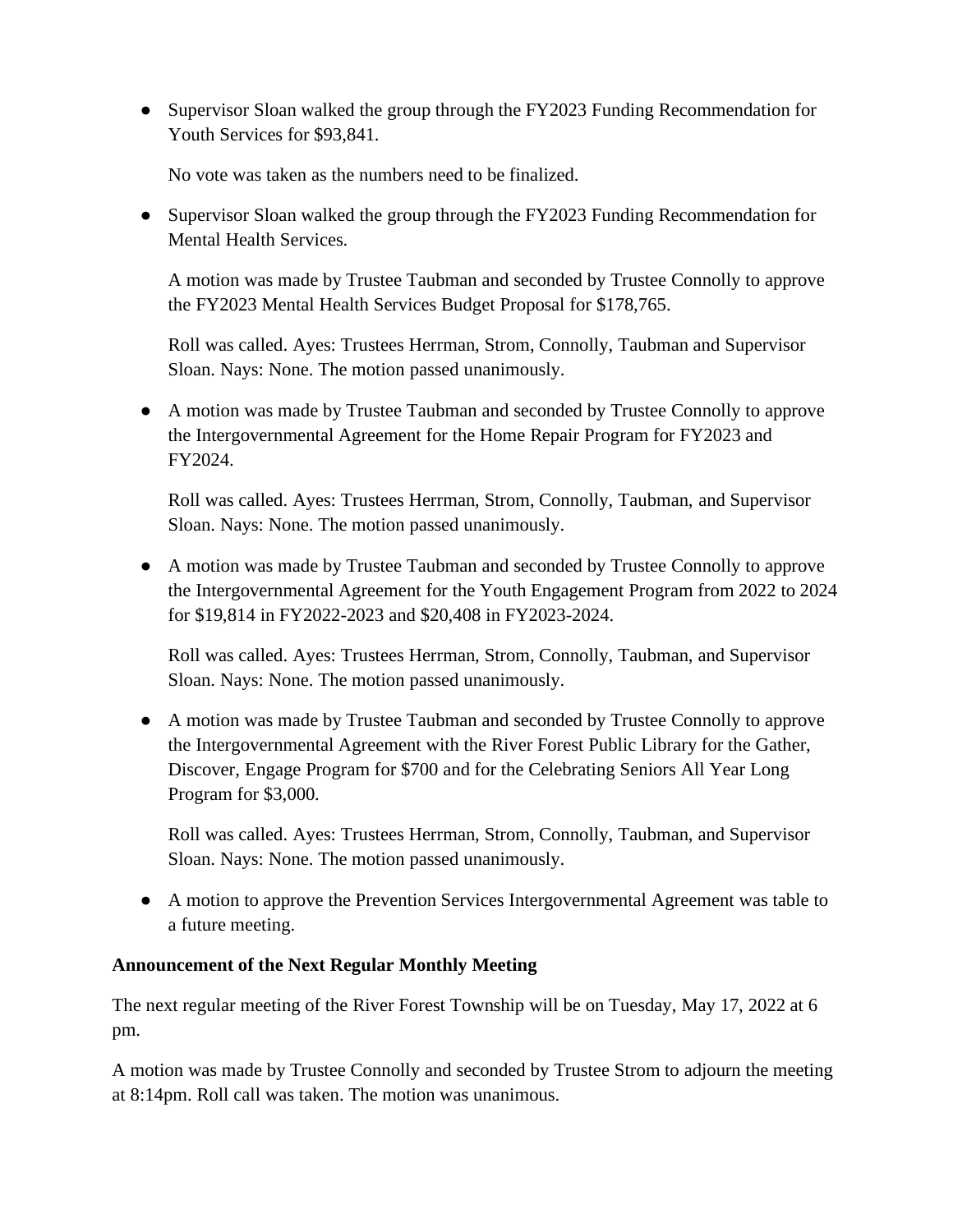• Supervisor Sloan walked the group through the FY2023 Funding Recommendation for Youth Services for \$93,841.

No vote was taken as the numbers need to be finalized.

• Supervisor Sloan walked the group through the FY2023 Funding Recommendation for Mental Health Services.

A motion was made by Trustee Taubman and seconded by Trustee Connolly to approve the FY2023 Mental Health Services Budget Proposal for \$178,765.

Roll was called. Ayes: Trustees Herrman, Strom, Connolly, Taubman and Supervisor Sloan. Nays: None. The motion passed unanimously.

● A motion was made by Trustee Taubman and seconded by Trustee Connolly to approve the Intergovernmental Agreement for the Home Repair Program for FY2023 and FY2024.

Roll was called. Ayes: Trustees Herrman, Strom, Connolly, Taubman, and Supervisor Sloan. Nays: None. The motion passed unanimously.

● A motion was made by Trustee Taubman and seconded by Trustee Connolly to approve the Intergovernmental Agreement for the Youth Engagement Program from 2022 to 2024 for \$19,814 in FY2022-2023 and \$20,408 in FY2023-2024.

Roll was called. Ayes: Trustees Herrman, Strom, Connolly, Taubman, and Supervisor Sloan. Nays: None. The motion passed unanimously.

● A motion was made by Trustee Taubman and seconded by Trustee Connolly to approve the Intergovernmental Agreement with the River Forest Public Library for the Gather, Discover, Engage Program for \$700 and for the Celebrating Seniors All Year Long Program for \$3,000.

Roll was called. Ayes: Trustees Herrman, Strom, Connolly, Taubman, and Supervisor Sloan. Nays: None. The motion passed unanimously.

● A motion to approve the Prevention Services Intergovernmental Agreement was table to a future meeting.

## **Announcement of the Next Regular Monthly Meeting**

The next regular meeting of the River Forest Township will be on Tuesday, May 17, 2022 at 6 pm.

A motion was made by Trustee Connolly and seconded by Trustee Strom to adjourn the meeting at 8:14pm. Roll call was taken. The motion was unanimous.